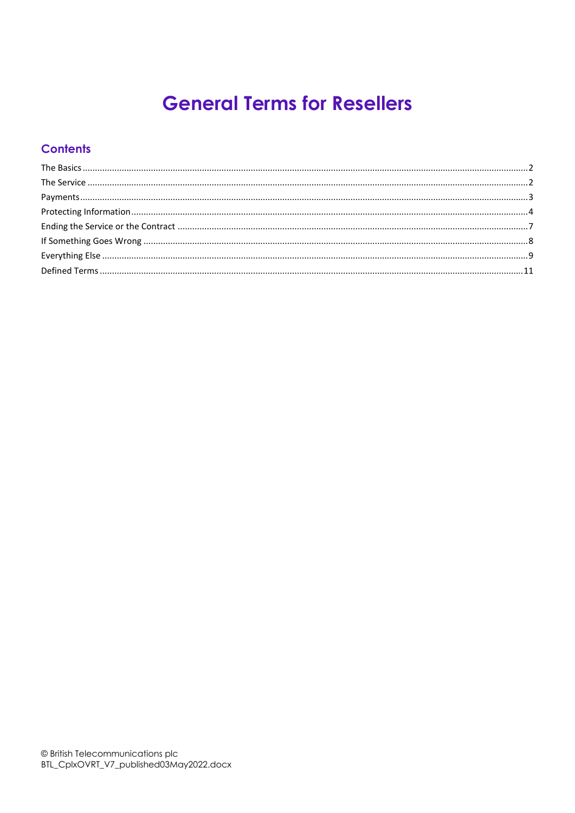# **General Terms for Resellers**

# **Contents**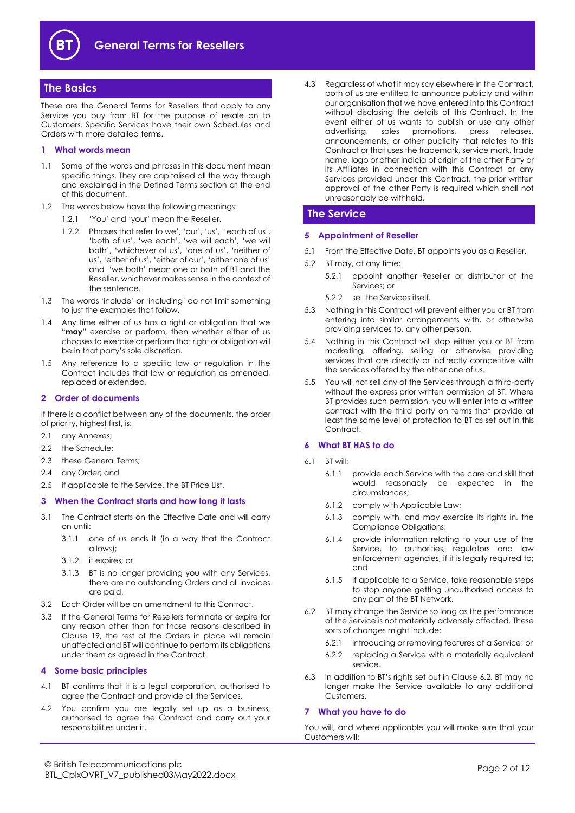

# <span id="page-1-0"></span>**The Basics**

These are the General Terms for Resellers that apply to any Service you buy from BT for the purpose of resale on to Customers. Specific Services have their own Schedules and Orders with more detailed terms.

#### **1 What words mean**

- 1.1 Some of the words and phrases in this document mean specific things. They are capitalised all the way through and explained in the Defined Terms section at the end of this document.
- 1.2 The words below have the following meanings:
	- 1.2.1 'You' and 'your' mean the Reseller.
	- 1.2.2 Phrases that refer to we', 'our', 'us', 'each of us', 'both of us', 'we each', 'we will each', 'we will both', 'whichever of us', 'one of us', 'neither of us', 'either of us', 'either of our', 'either one of us' and 'we both' mean one or both of BT and the Reseller, whichever makes sense in the context of the sentence.
- 1.3 The words 'include' or 'including' do not limit something to just the examples that follow.
- 1.4 Any time either of us has a right or obligation that we "**may**" exercise or perform, then whether either of us chooses to exercise or perform that right or obligation will be in that party's sole discretion.
- 1.5 Any reference to a specific law or regulation in the Contract includes that law or regulation as amended, replaced or extended.

#### <span id="page-1-4"></span>**2 Order of documents**

If there is a conflict between any of the documents, the order of priority, highest first, is:

- 2.1 any Annexes;
- 2.2 the Schedule:
- 2.3 these General Terms;
- 2.4 any Order; and
- 2.5 if applicable to the Service, the BT Price List.

#### **3 When the Contract starts and how long it lasts**

- 3.1 The Contract starts on the Effective Date and will carry on until:
	- 3.1.1 one of us ends it (in a way that the Contract allows);
	- 3.1.2 it expires; or
	- 3.1.3 BT is no longer providing you with any Services, there are no outstanding Orders and all invoices are paid.
- 3.2 Each Order will be an amendment to this Contract.
- 3.3 If the General Terms for Resellers terminate or expire for any reason other than for those reasons described in Clause [19,](#page-6-1) the rest of the Orders in place will remain unaffected and BT will continue to perform its obligations under them as agreed in the Contract.

#### **4 Some basic principles**

- 4.1 BT confirms that it is a legal corporation, authorised to agree the Contract and provide all the Services.
- 4.2 You confirm you are legally set up as a business, authorised to agree the Contract and carry out your responsibilities under it.

4.3 Regardless of what it may say elsewhere in the Contract, both of us are entitled to announce publicly and within our organisation that we have entered into this Contract without disclosing the details of this Contract. In the event either of us wants to publish or use any other advertising, sales promotions, press releases, announcements, or other publicity that relates to this Contract or that uses the trademark, service mark, trade name, logo or other indicia of origin of the other Party or its Affiliates in connection with this Contract or any Services provided under this Contract, the prior written approval of the other Party is required which shall not unreasonably be withheld.

# <span id="page-1-1"></span>**The Service**

# **5 Appointment of Reseller**

- 5.1 From the Effective Date, BT appoints you as a Reseller.
- 5.2 BT may, at any time:
	- 5.2.1 appoint another Reseller or distributor of the Services; or
	- 5.2.2 sell the Services itself.
- 5.3 Nothing in this Contract will prevent either you or BT from entering into similar arrangements with, or otherwise providing services to, any other person.
- 5.4 Nothing in this Contract will stop either you or BT from marketing, offering, selling or otherwise providing services that are directly or indirectly competitive with the services offered by the other one of us.
- 5.5 You will not sell any of the Services through a third-party without the express prior written permission of BT. Where BT provides such permission, you will enter into a written contract with the third party on terms that provide at least the same level of protection to BT as set out in this Contract.

#### **6 What BT HAS to do**

- 6.1 BT will:
	- 6.1.1 provide each Service with the care and skill that would reasonably be expected in the circumstances;
	- 6.1.2 comply with Applicable Law;
	- 6.1.3 comply with, and may exercise its rights in, the Compliance Obligations;
	- 6.1.4 provide information relating to your use of the Service, to authorities, regulators and law enforcement agencies, if it is legally required to; and
	- 6.1.5 if applicable to a Service, take reasonable steps to stop anyone getting unauthorised access to any part of the BT Network.
- <span id="page-1-3"></span><span id="page-1-2"></span>6.2 BT may change the Service so long as the performance of the Service is not materially adversely affected. These sorts of changes might include:
	- 6.2.1 introducing or removing features of a Service; or
	- 6.2.2 replacing a Service with a materially equivalent service.
- 6.3 In addition to BT's rights set out in Clause [6.2,](#page-1-2) BT may no longer make the Service available to any additional Customers.

#### **7 What you have to do**

You will, and where applicable you will make sure that your Customers will: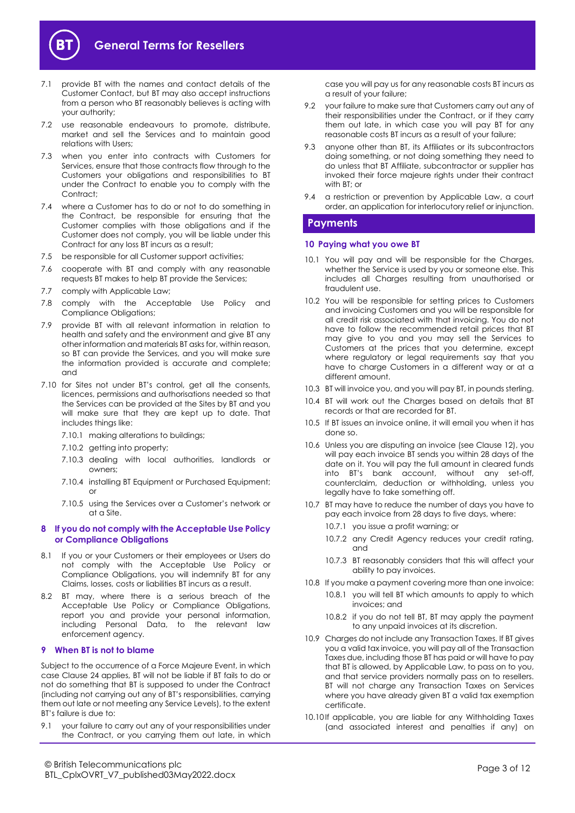

- 7.1 provide BT with the names and contact details of the Customer Contact, but BT may also accept instructions from a person who BT reasonably believes is acting with your authority;
- 7.2 use reasonable endeavours to promote, distribute, market and sell the Services and to maintain good relations with Users;
- 7.3 when you enter into contracts with Customers for Services, ensure that those contracts flow through to the Customers your obligations and responsibilities to BT under the Contract to enable you to comply with the Contract;
- 7.4 where a Customer has to do or not to do something in the Contract, be responsible for ensuring that the Customer complies with those obligations and if the Customer does not comply, you will be liable under this Contract for any loss BT incurs as a result;
- 7.5 be responsible for all Customer support activities;
- 7.6 cooperate with BT and comply with any reasonable requests BT makes to help BT provide the Services;
- 7.7 comply with Applicable Law;
- 7.8 comply with the Acceptable Use Policy and Compliance Obligations;
- 7.9 provide BT with all relevant information in relation to health and safety and the environment and give BT any other information and materials BT asks for, within reason, so BT can provide the Services, and you will make sure the information provided is accurate and complete; and
- 7.10 for Sites not under BT's control, get all the consents, licences, permissions and authorisations needed so that the Services can be provided at the Sites by BT and you will make sure that they are kept up to date. That includes things like:
	- 7.10.1 making alterations to buildings;
	- 7.10.2 getting into property:
	- 7.10.3 dealing with local authorities, landlords or owners;
	- 7.10.4 installing BT Equipment or Purchased Equipment; or
	- 7.10.5 using the Services over a Customer's network or at a Site.

#### **8 If you do not comply with the Acceptable Use Policy or Compliance Obligations**

- 8.1 If you or your Customers or their employees or Users do not comply with the Acceptable Use Policy or Compliance Obligations, you will indemnify BT for any Claims, losses, costs or liabilities BT incurs as a result.
- 8.2 BT may, where there is a serious breach of the Acceptable Use Policy or Compliance Obligations, report you and provide your personal information, including Personal Data, to the relevant law enforcement agency.

#### **9 When BT is not to blame**

Subject to the occurrence of a Force Majeure Event, in which case Clause [24](#page-8-1) applies, BT will not be liable if BT fails to do or not do something that BT is supposed to under the Contract (including not carrying out any of BT's responsibilities, carrying them out late or not meeting any Service Levels), to the extent BT's failure is due to:

9.1 your failure to carry out any of your responsibilities under the Contract, or you carrying them out late, in which case you will pay us for any reasonable costs BT incurs as a result of your failure;

- 9.2 your failure to make sure that Customers carry out any of their responsibilities under the Contract, or if they carry them out late, in which case you will pay BT for any reasonable costs BT incurs as a result of your failure;
- 9.3 anyone other than BT, its Affiliates or its subcontractors doing something, or not doing something they need to do unless that BT Affiliate, subcontractor or supplier has invoked their force majeure rights under their contract with BT; or
- 9.4 a restriction or prevention by Applicable Law, a court order, an application for interlocutory relief or injunction.

# <span id="page-2-0"></span>**Payments**

#### **10 Paying what you owe BT**

- 10.1 You will pay and will be responsible for the Charges, whether the Service is used by you or someone else. This includes all Charges resulting from unauthorised or fraudulent use.
- 10.2 You will be responsible for setting prices to Customers and invoicing Customers and you will be responsible for all credit risk associated with that invoicing. You do not have to follow the recommended retail prices that BT may give to you and you may sell the Services to Customers at the prices that you determine, except where regulatory or legal requirements say that you have to charge Customers in a different way or at a different amount.
- 10.3 BT will invoice you, and you will pay BT, in pounds sterling.
- 10.4 BT will work out the Charges based on details that BT records or that are recorded for BT.
- 10.5 If BT issues an invoice online, it will email you when it has done so.
- <span id="page-2-1"></span>10.6 Unless you are disputing an invoice (see Clause 12), you will pay each invoice BT sends you within 28 days of the date on it. You will pay the full amount in cleared funds into BT's bank account, without any set-off, counterclaim, deduction or withholding, unless you legally have to take something off.
- 10.7 BT may have to reduce the number of days you have to pay each invoice from 28 days to five days, where:
	- 10.7.1 you issue a profit warning; or
	- 10.7.2 any Credit Agency reduces your credit rating, and
	- 10.7.3 BT reasonably considers that this will affect your ability to pay invoices.
- 10.8 If you make a payment covering more than one invoice:
	- 10.8.1 you will tell BT which amounts to apply to which invoices; and
	- 10.8.2 if you do not tell BT, BT may apply the payment to any unpaid invoices at its discretion.
- 10.9 Charges do not include any Transaction Taxes. If BT gives you a valid tax invoice, you will pay all of the Transaction Taxes due, including those BT has paid or will have to pay that BT is allowed, by Applicable Law, to pass on to you, and that service providers normally pass on to resellers. BT will not charge any Transaction Taxes on Services where you have already given BT a valid tax exemption certificate.
- 10.10 If applicable, you are liable for any Withholding Taxes (and associated interest and penalties if any) on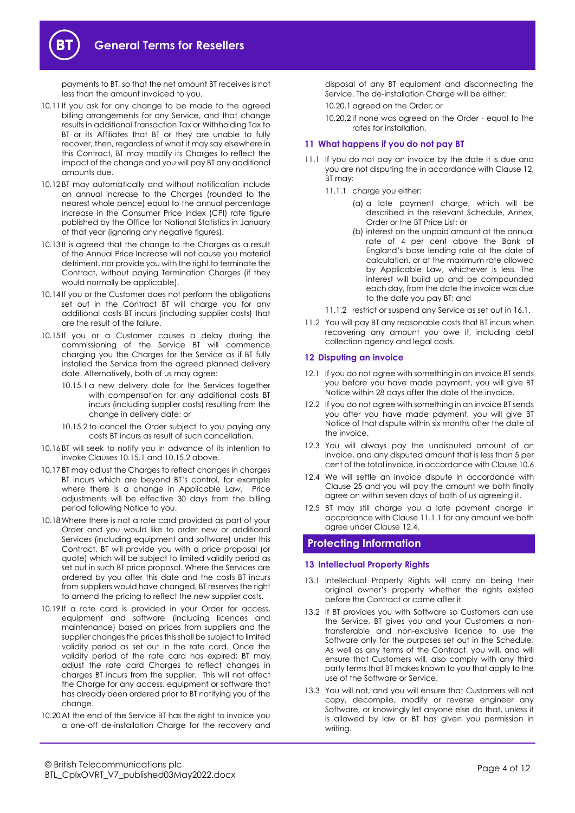

payments to BT, so that the net amount BT receives is not less than the amount invoiced to you.

- 10.11 If you ask for any change to be made to the agreed billing arrangements for any Service, and that change results in additional Transaction Tax or Withholding Tax to BT or its Affiliates that BT or they are unable to fully recover, then, regardless of what it may say elsewhere in this Contract, BT may modify its Charges to reflect the impact of the change and you will pay BT any additional amounts due.
- 10.12 BT may automatically and without notification include an annual increase to the Charges (rounded to the nearest whole pence) equal to the annual percentage increase in the Consumer Price Index (CPI) rate figure published by the Office for National Statistics in January of that year (ignoring any negative figures).
- 10.13 It is agreed that the change to the Charges as a result of the Annual Price Increase will not cause you material detriment, nor provide you with the right to terminate the Contract, without paying Termination Charges (if they would normally be applicable).
- 10.14 If you or the Customer does not perform the obligations set out in the Contract BT will charge you for any additional costs BT incurs (including supplier costs) that are the result of the failure.
- <span id="page-3-1"></span>10.15 If you or a Customer causes a delay during the commissioning of the Service BT will commence charging you the Charges for the Service as if BT fully installed the Service from the agreed planned delivery date. Alternatively, both of us may agree:
	- 10.15.1 a new delivery date for the Services together with compensation for any additional costs BT incurs (including supplier costs) resulting from the change in delivery date; or
	- 10.15.2 to cancel the Order subject to you paying any costs BT incurs as result of such cancellation.
- <span id="page-3-2"></span>10.16 BT will seek to notify you in advance of its intention to invoke Clause[s 10.15.1](#page-3-1) an[d 10.15.2](#page-3-2) above.
- 10.17 BT may adjust the Charges to reflect changes in charges BT incurs which are beyond BT's control, for example where there is a change in Applicable Law. Price adjustments will be effective 30 days from the billing period following Notice to you.
- 10.18Where there is not a rate card provided as part of your Order and you would like to order new or additional Services (including equipment and software) under this Contract, BT will provide you with a price proposal (or quote) which will be subject to limited validity period as set out in such BT price proposal. Where the Services are ordered by you after this date and the costs BT incurs from suppliers would have changed, BT reserves the right to amend the pricing to reflect the new supplier costs.
- 10.19 If a rate card is provided in your Order for access, equipment and software (including licences and maintenance) based on prices from suppliers and the supplier changes the prices this shall be subject to limited validity period as set out in the rate card. Once the validity period of the rate card has expired; BT may adjust the rate card Charges to reflect changes in charges BT incurs from the supplier. This will not affect the Charge for any access, equipment or software that has already been ordered prior to BT notifying you of the change.
- 10.20 At the end of the Service BT has the right to invoice you a one-off de-installation Charge for the recovery and

disposal of any BT equipment and disconnecting the Service. The de-installation Charge will be either:

- 10.20.1 agreed on the Order; or
- 10.20.2 if none was agreed on the Order equal to the rates for installation.

## **11 What happens if you do not pay BT**

- <span id="page-3-7"></span><span id="page-3-4"></span>11.1 If you do not pay an invoice by the date it is due and you are not disputing the in accordance with Claus[e 12,](#page-3-3)  BT may:
	- 11.1.1 charge you either:
		- (a) a late payment charge, which will be described in the relevant Schedule, Annex, Order or the BT Price List; or
		- (b) interest on the unpaid amount at the annual rate of 4 per cent above the Bank of England's base lending rate at the date of calculation, or at the maximum rate allowed by Applicable Law, whichever is less. The interest will build up and be compounded each day, from the date the invoice was due to the date you pay BT; and
	- 11.1.2 restrict or suspend any Service as set out i[n 16.1.](#page-6-2)
- 11.2 You will pay BT any reasonable costs that BT incurs when recovering any amount you owe it, including debt collection agency and legal costs.

#### <span id="page-3-3"></span>**12 Disputing an invoice**

- 12.1 If you do not agree with something in an invoice BT sends you before you have made payment, you will give BT Notice within 28 days after the date of the invoice.
- 12.2 If you do not agree with something in an invoice BT sends you after you have made payment, you will give BT Notice of that dispute within six months after the date of the invoice.
- 12.3 You will always pay the undisputed amount of an invoice, and any disputed amount that is less than 5 per cent of the total invoice, in accordance with Claus[e 10.6](#page-2-1)
- <span id="page-3-5"></span>12.4 We will settle an invoice dispute in accordance with Clause [25](#page-8-2) and you will pay the amount we both finally agree on within seven days of both of us agreeing it.
- 12.5 BT may still charge you a late payment charge in accordance with Clause [11.1.1](#page-3-4) for any amount we both agree under Claus[e 12.4.](#page-3-5)

# <span id="page-3-0"></span>**Protecting Information**

#### **13 Intellectual Property Rights**

- 13.1 Intellectual Property Rights will carry on being their original owner's property whether the rights existed before the Contract or came after it.
- <span id="page-3-6"></span>13.2 If BT provides you with Software so Customers can use the Service, BT gives you and your Customers a nontransferable and non-exclusive licence to use the Software only for the purposes set out in the Schedule. As well as any terms of the Contract, you will, and will ensure that Customers will, also comply with any third party terms that BT makes known to you that apply to the use of the Software or Service.
- 13.3 You will not, and you will ensure that Customers will not copy, decompile, modify or reverse engineer any Software, or knowingly let anyone else do that, unless it is allowed by law or BT has given you permission in writing.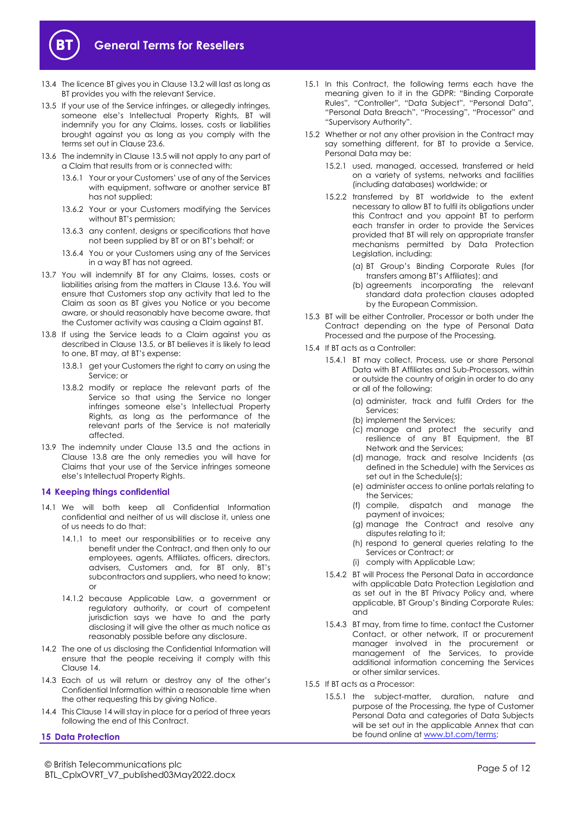

- 13.4 The licence BT gives you in Claus[e 13.2](#page-3-6) will last as long as BT provides you with the relevant Service.
- <span id="page-4-0"></span>13.5 If your use of the Service infringes, or allegedly infringes, someone else's Intellectual Property Rights, BT will indemnify you for any Claims, losses, costs or liabilities brought against you as long as you comply with the terms set out in Clause [23.6.](#page-7-1)
- <span id="page-4-1"></span>13.6 The indemnity in Clause [13.5](#page-4-0) will not apply to any part of a Claim that results from or is connected with:
	- 13.6.1 Your or your Customers' use of any of the Services with equipment, software or another service BT has not supplied;
	- 13.6.2 Your or your Customers modifying the Services without BT's permission;
	- 13.6.3 any content, designs or specifications that have not been supplied by BT or on BT's behalf; or
	- 13.6.4 You or your Customers using any of the Services in a way BT has not agreed.
- 13.7 You will indemnify BT for any Claims, losses, costs or liabilities arising from the matters in Claus[e 13.6.](#page-4-1) You will ensure that Customers stop any activity that led to the Claim as soon as BT gives you Notice or you become aware, or should reasonably have become aware, that the Customer activity was causing a Claim against BT.
- <span id="page-4-2"></span>13.8 If using the Service leads to a Claim against you as described in Clause [13.5,](#page-4-0) or BT believes it is likely to lead to one, BT may, at BT's expense:
	- 13.8.1 get your Customers the right to carry on using the Service; or
	- 13.8.2 modify or replace the relevant parts of the Service so that using the Service no longer infringes someone else's Intellectual Property Rights, as long as the performance of the relevant parts of the Service is not materially affected.
- 13.9 The indemnity under Clause [13.5](#page-4-0) and the actions in Clause [13.8](#page-4-2) are the only remedies you will have for Claims that your use of the Service infringes someone else's Intellectual Property Rights.

# <span id="page-4-3"></span>**14 Keeping things confidential**

- 14.1 We will both keep all Confidential Information confidential and neither of us will disclose it, unless one of us needs to do that:
	- 14.1.1 to meet our responsibilities or to receive any benefit under the Contract, and then only to our employees, agents, Affiliates, officers, directors, advisers, Customers and, for BT only, BT's subcontractors and suppliers, who need to know; or
	- 14.1.2 because Applicable Law, a government or regulatory authority, or court of competent jurisdiction says we have to and the party disclosing it will give the other as much notice as reasonably possible before any disclosure.
- 14.2 The one of us disclosing the Confidential Information will ensure that the people receiving it comply with this Clause [14.](#page-4-3)
- 14.3 Each of us will return or destroy any of the other's Confidential Information within a reasonable time when the other requesting this by giving Notice.
- 14.4 This Claus[e 14](#page-4-3) will stay in place for a period of three years following the end of this Contract.

#### <span id="page-4-5"></span>**15 Data Protection**

- 15.1 In this Contract, the following terms each have the meaning given to it in the GDPR: "Binding Corporate Rules", "Controller", "Data Subject", "Personal Data", "Personal Data Breach", "Processing", "Processor" and "Supervisory Authority".
- 15.2 Whether or not any other provision in the Contract may say something different, for BT to provide a Service, Personal Data may be:
	- 15.2.1 used, managed, accessed, transferred or held on a variety of systems, networks and facilities (including databases) worldwide; or
	- 15.2.2 transferred by BT worldwide to the extent necessary to allow BT to fulfil its obligations under this Contract and you appoint BT to perform each transfer in order to provide the Services provided that BT will rely on appropriate transfer mechanisms permitted by Data Protection Legislation, including:
		- (a) BT Group's Binding Corporate Rules (for transfers among BT's Affiliates); and
		- (b) agreements incorporating the relevant standard data protection clauses adopted by the European Commission.
- 15.3 BT will be either Controller, Processor or both under the Contract depending on the type of Personal Data Processed and the purpose of the Processing.
- 15.4 If BT acts as a Controller:
	- 15.4.1 BT may collect, Process, use or share Personal Data with BT Affiliates and Sub-Processors, within or outside the country of origin in order to do any or all of the following:
		- (a) administer, track and fulfil Orders for the Services;
		- (b) implement the Services;
		- (c) manage and protect the security and resilience of any BT Equipment, the BT Network and the Services;
		- (d) manage, track and resolve Incidents (as defined in the Schedule) with the Services as set out in the Schedule(s);
		- (e) administer access to online portals relating to the Services;
		- (f) compile, dispatch and manage the payment of invoices;
		- (g) manage the Contract and resolve any disputes relating to it;
		- (h) respond to general queries relating to the Services or Contract; or
		- (i) comply with Applicable Law;
	- 15.4.2 BT will Process the Personal Data in accordance with applicable Data Protection Legislation and as set out in the BT Privacy Policy and, where applicable, BT Group's Binding Corporate Rules; and
	- 15.4.3 BT may, from time to time, contact the Customer Contact, or other network, IT or procurement manager involved in the procurement or management of the Services, to provide additional information concerning the Services or other similar services.
- <span id="page-4-4"></span>15.5 If BT acts as a Processor:
	- 15.5.1 the subject-matter, duration, nature and purpose of the Processing, the type of Customer Personal Data and categories of Data Subjects will be set out in the applicable Annex that can be found online at [www.bt.com/terms;](http://www.bt.com/terms)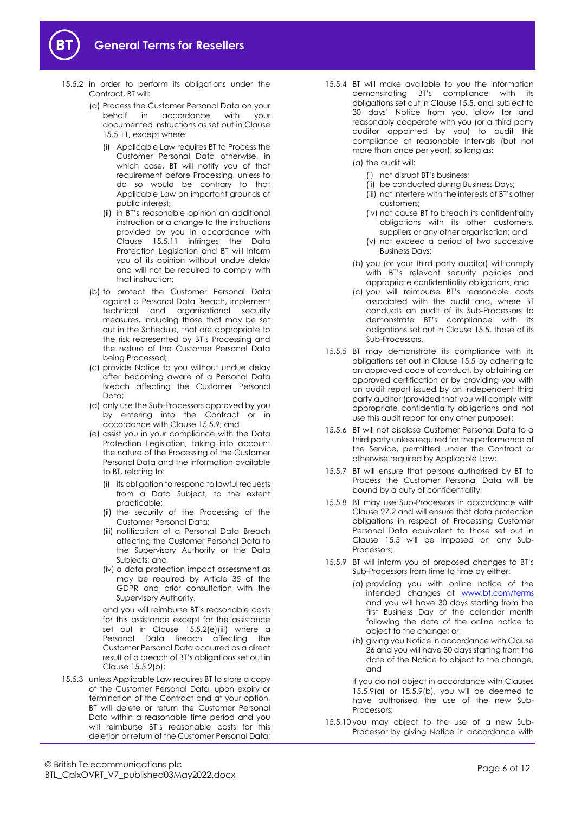

- <span id="page-5-2"></span>15.5.2 in order to perform its obligations under the Contract, BT will:
	- (a) Process the Customer Personal Data on your behalf in accordance with your documented instructions as set out in Clause [15.5.11,](#page-6-3) except where:
		- (i) Applicable Law requires BT to Process the Customer Personal Data otherwise, in which case, BT will notify you of that requirement before Processing, unless to do so would be contrary to that Applicable Law on important grounds of public interest;
		- (ii) in BT's reasonable opinion an additional instruction or a change to the instructions provided by you in accordance with Clause [15.5.11](#page-6-3) infringes the Data Protection Legislation and BT will inform you of its opinion without undue delay and will not be required to comply with that instruction;
	- (b) to protect the Customer Personal Data against a Personal Data Breach, implement technical and organisational security measures, including those that may be set out in the Schedule, that are appropriate to the risk represented by BT's Processing and the nature of the Customer Personal Data being Processed;
	- (c) provide Notice to you without undue delay after becoming aware of a Personal Data Breach affecting the Customer Personal Data;
	- (d) only use the Sub-Processors approved by you by entering into the Contract or in accordance with Claus[e 15.5.9;](#page-5-0) and
	- (e) assist you in your compliance with the Data Protection Legislation, taking into account the nature of the Processing of the Customer Personal Data and the information available to BT, relating to:
		- (i) its obligation to respond to lawful requests from a Data Subject, to the extent practicable;
		- (ii) the security of the Processing of the Customer Personal Data;
		- (iii) notification of a Personal Data Breach affecting the Customer Personal Data to the Supervisory Authority or the Data Subjects; and
		- (iv) a data protection impact assessment as may be required by Article 35 of the GDPR and prior consultation with the Supervisory Authority,

<span id="page-5-1"></span>and you will reimburse BT's reasonable costs for this assistance except for the assistance set out in Clause [15.5.2\(e\)\(iii\)](#page-5-1) where a Personal Data Breach affecting the Customer Personal Data occurred as a direct result of a breach of BT's obligations set out in Claus[e 15.5.2\(b\);](#page-5-2)

15.5.3 unless Applicable Law requires BT to store a copy of the Customer Personal Data, upon expiry or termination of the Contract and at your option, BT will delete or return the Customer Personal Data within a reasonable time period and you will reimburse BT's reasonable costs for this deletion or return of the Customer Personal Data;

- 15.5.4 BT will make available to you the information demonstrating BT's compliance with its obligations set out in Claus[e 15.5,](#page-4-4) and, subject to 30 days' Notice from you, allow for and reasonably cooperate with you (or a third party auditor appointed by you) to audit this compliance at reasonable intervals (but not more than once per year), so long as:
	- (a) the audit will:
		- (i) not disrupt BT's business;
		- (ii) be conducted during Business Days;
		- (iii) not interfere with the interests of BT's other customers;
		- (iv) not cause BT to breach its confidentiality obligations with its other customers, suppliers or any other organisation; and
		- (v) not exceed a period of two successive Business Days;
	- (b) you (or your third party auditor) will comply with BT's relevant security policies and appropriate confidentiality obligations; and
	- (c) you will reimburse BT's reasonable costs associated with the audit and, where BT conducts an audit of its Sub-Processors to demonstrate BT's compliance with its obligations set out in Clause [15.5,](#page-4-4) those of its Sub-Processors.
- 15.5.5 BT may demonstrate its compliance with its obligations set out in Clause [15.5](#page-4-4) by adhering to an approved code of conduct, by obtaining an approved certification or by providing you with an audit report issued by an independent third party auditor (provided that you will comply with appropriate confidentiality obligations and not use this audit report for any other purpose);
- 15.5.6 BT will not disclose Customer Personal Data to a third party unless required for the performance of the Service, permitted under the Contract or otherwise required by Applicable Law;
- 15.5.7 BT will ensure that persons authorised by BT to Process the Customer Personal Data will be bound by a duty of confidentiality;
- 15.5.8 BT may use Sub-Processors in accordance with Clause [27.2](#page-9-0) and will ensure that data protection obligations in respect of Processing Customer Personal Data equivalent to those set out in Clause [15.5](#page-4-4) will be imposed on any Sub-Processors;
- <span id="page-5-3"></span><span id="page-5-0"></span>15.5.9 BT will inform you of proposed changes to BT's Sub-Processors from time to time by either:
	- (a) providing you with online notice of the intended changes at [www.bt.com/terms](http://www.bt.com/terms) and you will have 30 days starting from the first Business Day of the calendar month following the date of the online notice to object to the change; or,
	- (b) giving you Notice in accordance with Clause [26](#page-8-3) and you will have 30 days starting from the date of the Notice to object to the change, and

<span id="page-5-4"></span>if you do not object in accordance with Clauses [15.5.9\(a\)](#page-5-3) or [15.5.9\(b\),](#page-5-4) you will be deemed to have authorised the use of the new Sub-Processors;

15.5.10 you may object to the use of a new Sub-Processor by giving Notice in accordance with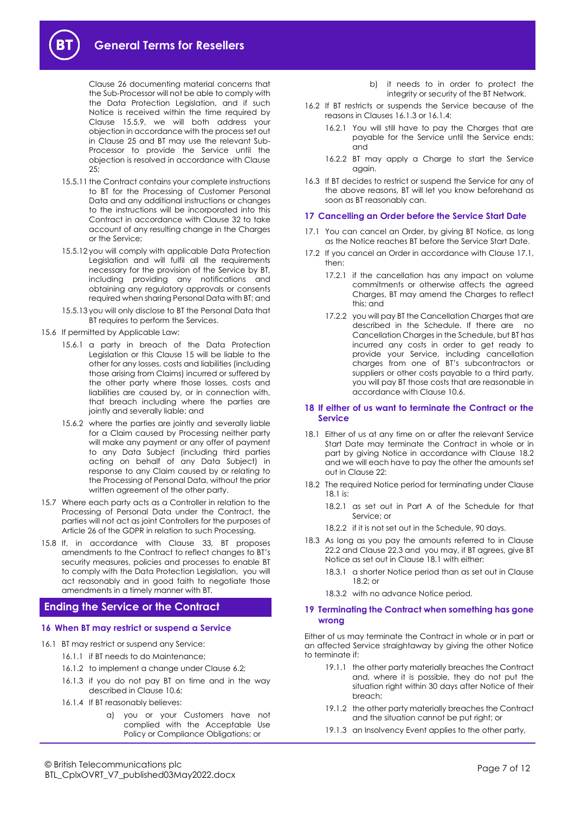

Clause [26](#page-8-3) documenting material concerns that the Sub-Processor will not be able to comply with the Data Protection Legislation, and if such Notice is received within the time required by Clause [15.5.9,](#page-5-0) we will both address your objection in accordance with the process set out in Clause [25](#page-8-2) and BT may use the relevant Sub-Processor to provide the Service until the objection is resolved in accordance with Clause  $2.5$ 

- <span id="page-6-3"></span>15.5.11 the Contract contains your complete instructions to BT for the Processing of Customer Personal Data and any additional instructions or changes to the instructions will be incorporated into this Contract in accordance with Clause [32](#page-9-1) to take account of any resulting change in the Charges or the Service;
- 15.5.12 you will comply with applicable Data Protection Legislation and will fulfil all the requirements necessary for the provision of the Service by BT, including providing any notifications and obtaining any regulatory approvals or consents required when sharing Personal Data with BT; and
- 15.5.13 you will only disclose to BT the Personal Data that BT requires to perform the Services.
- 15.6 If permitted by Applicable Law:
	- 15.6.1 a party in breach of the Data Protection Legislation or this Clause [15](#page-4-5) will be liable to the other for any losses, costs and liabilities (including those arising from Claims) incurred or suffered by the other party where those losses, costs and liabilities are caused by, or in connection with, that breach including where the parties are jointly and severally liable; and
	- 15.6.2 where the parties are jointly and severally liable for a Claim caused by Processing neither party will make any payment or any offer of payment to any Data Subject (including third parties acting on behalf of any Data Subject) in response to any Claim caused by or relating to the Processing of Personal Data, without the prior written agreement of the other party.
- 15.7 Where each party acts as a Controller in relation to the Processing of Personal Data under the Contract, the parties will not act as joint Controllers for the purposes of Article 26 of the GDPR in relation to such Processing.
- 15.8 If, in accordance with Clause [33,](#page-9-2) BT proposes amendments to the Contract to reflect changes to BT's security measures, policies and processes to enable BT to comply with the Data Protection Legislation, you will act reasonably and in good faith to negotiate those amendments in a timely manner with BT.

# <span id="page-6-0"></span>**Ending the Service or the Contract**

#### **16 When BT may restrict or suspend a Service**

- <span id="page-6-5"></span><span id="page-6-4"></span><span id="page-6-2"></span>16.1 BT may restrict or suspend any Service:
	- 16.1.1 if BT needs to do Maintenance:
	- 16.1.2 to implement a change under Clause [6.2;](#page-1-2)
	- 16.1.3 if you do not pay BT on time and in the way described in Claus[e 10.6;](#page-2-1)
	- 16.1.4 If BT reasonably believes:
		- a) you or your Customers have not complied with the Acceptable Use Policy or Compliance Obligations; or

b) it needs to in order to protect the integrity or security of the BT Network.

- 16.2 If BT restricts or suspends the Service because of the reasons in Clauses [16.1.3](#page-6-4) o[r 16.1.4:](#page-6-5)
	- 16.2.1 You will still have to pay the Charges that are payable for the Service until the Service ends; and
	- 16.2.2 BT may apply a Charge to start the Service again.
- 16.3 If BT decides to restrict or suspend the Service for any of the above reasons, BT will let you know beforehand as soon as BT reasonably can.

#### <span id="page-6-11"></span>**17 Cancelling an Order before the Service Start Date**

- <span id="page-6-6"></span>17.1 You can cancel an Order, by giving BT Notice, as long as the Notice reaches BT before the Service Start Date.
- 17.2 If you cancel an Order in accordance with Clause [17.1,](#page-6-6)  then:
	- 17.2.1 if the cancellation has any impact on volume commitments or otherwise affects the agreed Charges, BT may amend the Charges to reflect this; and
	- 17.2.2 you will pay BT the Cancellation Charges that are described in the Schedule. If there are no Cancellation Charges in the Schedule, but BT has incurred any costs in order to get ready to provide your Service, including cancellation charges from one of BT's subcontractors or suppliers or other costs payable to a third party, you will pay BT those costs that are reasonable in accordance with Clause [10.6.](#page-2-1)

#### <span id="page-6-10"></span>**18 If either of us want to terminate the Contract or the Service**

- <span id="page-6-8"></span>18.1 Either of us at any time on or after the relevant Service Start Date may terminate the Contract in whole or in part by giving Notice in accordance with Clause [18.2](#page-6-7) and we will each have to pay the other the amounts set out in Clause 22:
- <span id="page-6-7"></span>18.2 The required Notice period for terminating under Clause [18.1](#page-6-8) is:
	- 18.2.1 as set out in Part A of the Schedule for that Service; or
	- 18.2.2 if it is not set out in the Schedule, 90 days.
- 18.3 As long as you pay the amounts referred to in Clause [22.2](#page-7-2) and Claus[e 22.3](#page-7-3) and you may, if BT agrees, give BT Notice as set out in Clause 18.1 with either:
	- 18.3.1 a shorter Notice period than as set out in Clause  $18.2;$  or
	- 18.3.2 with no advance Notice period.

#### <span id="page-6-1"></span>**19 Terminating the Contract when something has gone wrong**

Either of us may terminate the Contract in whole or in part or an affected Service straightaway by giving the other Notice to terminate if:

- 19.1.1 the other party materially breaches the Contract and, where it is possible, they do not put the situation right within 30 days after Notice of their breach;
- 19.1.2 the other party materially breaches the Contract and the situation cannot be put right; or
- <span id="page-6-9"></span>19.1.3 an Insolvency Event applies to the other party,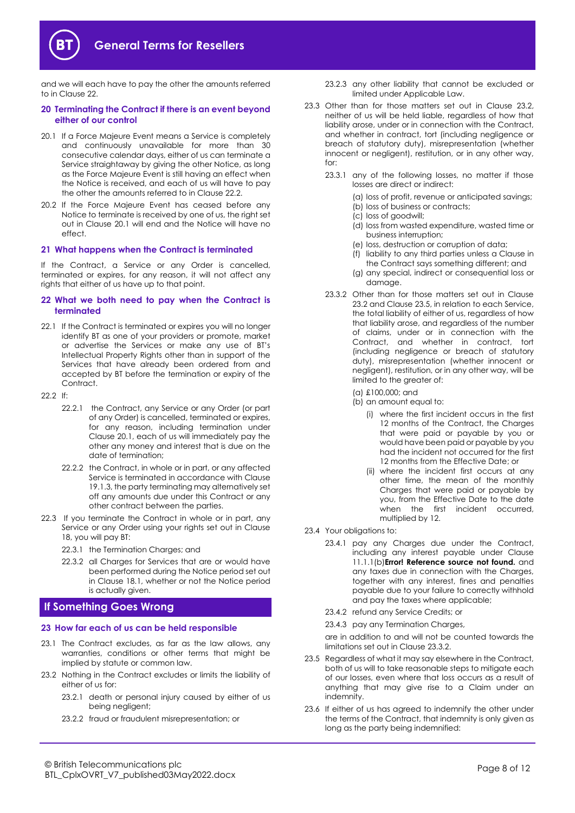

and we will each have to pay the other the amounts referred to in Claus[e 22.](#page-7-4)

#### **20 Terminating the Contract if there is an event beyond either of our control**

- <span id="page-7-6"></span>20.1 If a Force Majeure Event means a Service is completely and continuously unavailable for more than 30 consecutive calendar days, either of us can terminate a Service straightaway by giving the other Notice, as long as the Force Majeure Event is still having an effect when the Notice is received, and each of us will have to pay the other the amounts referred to in Claus[e 22.2.](#page-7-5)
- 20.2 If the Force Majeure Event has ceased before any Notice to terminate is received by one of us, the right set out in Clause [20.1](#page-7-6) will end and the Notice will have no effect.

#### **21 What happens when the Contract is terminated**

If the Contract, a Service or any Order is cancelled, terminated or expires, for any reason, it will not affect any rights that either of us have up to that point.

#### <span id="page-7-4"></span>**22 What we both need to pay when the Contract is terminated**

- 22.1 If the Contract is terminated or expires you will no longer identify BT as one of your providers or promote, market or advertise the Services or make any use of BT's Intellectual Property Rights other than in support of the Services that have already been ordered from and accepted by BT before the termination or expiry of the Contract.
- <span id="page-7-5"></span><span id="page-7-2"></span> $22.2$  If:
	- 22.2.1 the Contract, any Service or any Order (or part of any Order) is cancelled, terminated or expires, for any reason, including termination under Clause [20.1,](#page-7-6) each of us will immediately pay the other any money and interest that is due on the date of termination;
	- 22.2.2 the Contract, in whole or in part, or any affected Service is terminated in accordance with Clause [19.1.3,](#page-6-9) the party terminating may alternatively set off any amounts due under this Contract or any other contract between the parties.
- <span id="page-7-3"></span>22.3 If you terminate the Contract in whole or in part, any Service or any Order using your rights set out in Clause [18,](#page-6-10) you will pay BT:
	- 22.3.1 the Termination Charges; and
	- 22.3.2 all Charges for Services that are or would have been performed during the Notice period set out in Clause [18.1,](#page-6-8) whether or not the Notice period is actually given.

# <span id="page-7-0"></span>**If Something Goes Wrong**

#### **23 How far each of us can be held responsible**

- 23.1 The Contract excludes, as far as the law allows, any warranties, conditions or other terms that might be implied by statute or common law.
- <span id="page-7-7"></span>23.2 Nothing in the Contract excludes or limits the liability of either of us for:
	- 23.2.1 death or personal injury caused by either of us being negligent;
	- 23.2.2 fraud or fraudulent misrepresentation; or
- 23.2.3 any other liability that cannot be excluded or limited under Applicable Law.
- <span id="page-7-9"></span>23.3 Other than for those matters set out in Clause 23.2, neither of us will be held liable, regardless of how that liability arose, under or in connection with the Contract, and whether in contract, tort (including negligence or breach of statutory duty), misrepresentation (whether innocent or negligent), restitution, or in any other way, for:
	- 23.3.1 any of the following losses, no matter if those losses are direct or indirect:
		- (a) loss of profit, revenue or anticipated savings;
		- (b) loss of business or contracts;
		- (c) loss of goodwill;
		- (d) loss from wasted expenditure, wasted time or business interruption;
		- (e) loss, destruction or corruption of data;
		- (f) liability to any third parties unless a Clause in the Contract says something different; and
		- (g) any special, indirect or consequential loss or damage.
	- 23.3.2 Other than for those matters set out in Clause [23.2](#page-7-7) and Claus[e 23.5,](#page-7-8) in relation to each Service, the total liability of either of us, regardless of how that liability arose, and regardless of the number of claims, under or in connection with the Contract, and whether in contract, tort (including negligence or breach of statutory duty), misrepresentation (whether innocent or negligent), restitution, or in any other way, will be limited to the greater of:
		- (a) £100,000; and
		- (b) an amount equal to:
			- (i) where the first incident occurs in the first 12 months of the Contract, the Charges that were paid or payable by you or would have been paid or payable by you had the incident not occurred for the first 12 months from the Effective Date; or
			- (ii) where the incident first occurs at any other time, the mean of the monthly Charges that were paid or payable by you, from the Effective Date to the date when the first incident occurred, multiplied by 12.
- 23.4 Your obligations to:
	- 23.4.1 pay any Charges due under the Contract, including any interest payable under Clause [11.1.1\(b\)](#page-3-7)**Error! Reference source not found.** and any taxes due in connection with the Charges, together with any interest, fines and penalties payable due to your failure to correctly withhold and pay the taxes where applicable;
	- 23.4.2 refund any Service Credits; or
	- 23.4.3 pay any Termination Charges,

are in addition to and will not be counted towards the limitations set out in Claus[e 23.3.2.](#page-7-9)

- <span id="page-7-8"></span>23.5 Regardless of what it may say elsewhere in the Contract, both of us will to take reasonable steps to mitigate each of our losses, even where that loss occurs as a result of anything that may give rise to a Claim under an indemnity.
- <span id="page-7-1"></span>23.6 If either of us has agreed to indemnify the other under the terms of the Contract, that indemnity is only given as long as the party being indemnified: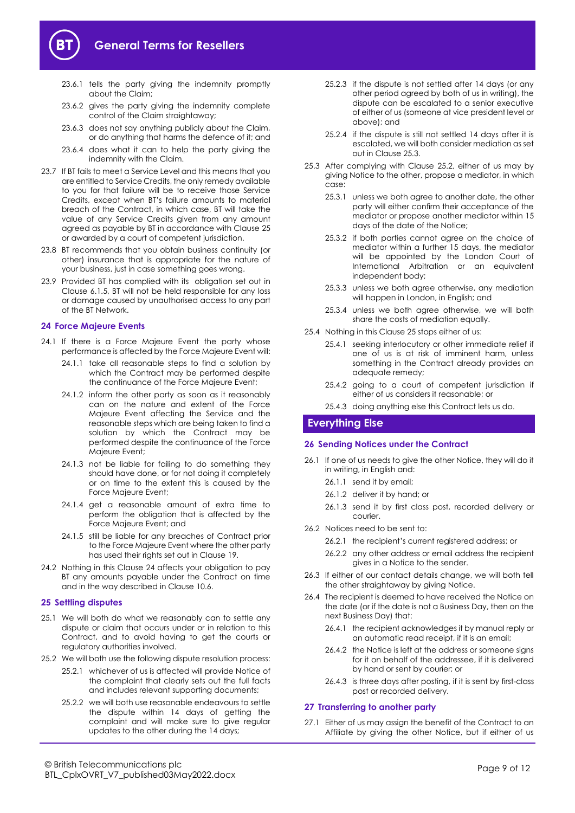

- 23.6.1 tells the party giving the indemnity promptly about the Claim;
- 23.6.2 gives the party giving the indemnity complete control of the Claim straightaway;
- 23.6.3 does not say anything publicly about the Claim, or do anything that harms the defence of it; and
- 23.6.4 does what it can to help the party giving the indemnity with the Claim.
- 23.7 If BT fails to meet a Service Level and this means that you are entitled to Service Credits, the only remedy available to you for that failure will be to receive those Service Credits, except when BT's failure amounts to material breach of the Contract, in which case, BT will take the value of any Service Credits given from any amount agreed as payable by BT in accordance with Clause [25](#page-8-2) or awarded by a court of competent jurisdiction.
- 23.8 BT recommends that you obtain business continuity (or other) insurance that is appropriate for the nature of your business, just in case something goes wrong.
- 23.9 Provided BT has complied with its obligation set out in Clause [6.1.5,](#page-1-3) BT will not be held responsible for any loss or damage caused by unauthorised access to any part of the BT Network.

#### <span id="page-8-1"></span>**24 Force Majeure Events**

- 24.1 If there is a Force Majeure Event the party whose performance is affected by the Force Majeure Event will:
	- 24.1.1 take all reasonable steps to find a solution by which the Contract may be performed despite the continuance of the Force Majeure Event;
	- 24.1.2 inform the other party as soon as it reasonably can on the nature and extent of the Force Majeure Event affecting the Service and the reasonable steps which are being taken to find a solution by which the Contract may be performed despite the continuance of the Force Majeure Event;
	- 24.1.3 not be liable for failing to do something they should have done, or for not doing it completely or on time to the extent this is caused by the Force Majeure Event;
	- 24.1.4 get a reasonable amount of extra time to perform the obligation that is affected by the Force Majeure Event; and
	- 24.1.5 still be liable for any breaches of Contract prior to the Force Majeure Event where the other party has used their rights set out in Clause [19.](#page-6-1)
- 24.2 Nothing in this Clause [24](#page-8-1) affects your obligation to pay BT any amounts payable under the Contract on time and in the way described in Clause [10.6.](#page-2-1)

# <span id="page-8-2"></span>**25 Settling disputes**

- 25.1 We will both do what we reasonably can to settle any dispute or claim that occurs under or in relation to this Contract, and to avoid having to get the courts or regulatory authorities involved.
- <span id="page-8-5"></span>25.2 We will both use the following dispute resolution process:
	- 25.2.1 whichever of us is affected will provide Notice of the complaint that clearly sets out the full facts and includes relevant supporting documents;
	- 25.2.2 we will both use reasonable endeavours to settle the dispute within 14 days of getting the complaint and will make sure to give regular updates to the other during the 14 days;
- 25.2.3 if the dispute is not settled after 14 days (or any other period agreed by both of us in writing), the dispute can be escalated to a senior executive of either of us (someone at vice president level or above); and
- 25.2.4 if the dispute is still not settled 14 days after it is escalated, we will both consider mediation as set out in Claus[e 25.3.](#page-8-4)
- <span id="page-8-4"></span>25.3 After complying with Clause [25.2,](#page-8-5) either of us may by giving Notice to the other, propose a mediator, in which case:
	- 25.3.1 unless we both agree to another date, the other party will either confirm their acceptance of the mediator or propose another mediator within 15 days of the date of the Notice;
	- 25.3.2 if both parties cannot agree on the choice of mediator within a further 15 days, the mediator will be appointed by the London Court of International Arbitration or an equivalent independent body;
	- 25.3.3 unless we both agree otherwise, any mediation will happen in London, in English; and
	- 25.3.4 unless we both agree otherwise, we will both share the costs of mediation equally.
- 25.4 Nothing in this Claus[e 25](#page-8-2) stops either of us:
	- 25.4.1 seeking interlocutory or other immediate relief if one of us is at risk of imminent harm, unless something in the Contract already provides an adequate remedy;
	- 25.4.2 going to a court of competent jurisdiction if either of us considers it reasonable; or
	- 25.4.3 doing anything else this Contract lets us do.

## <span id="page-8-0"></span>**Everything Else**

#### <span id="page-8-3"></span>**26 Sending Notices under the Contract**

- 26.1 If one of us needs to give the other Notice, they will do it in writing, in English and:
	- 26.1.1 send it by email;
	- 26.1.2 deliver it by hand; or
	- 26.1.3 send it by first class post, recorded delivery or courier.
- 26.2 Notices need to be sent to:
	- 26.2.1 the recipient's current registered address; or
	- 26.2.2 any other address or email address the recipient gives in a Notice to the sender.
- 26.3 If either of our contact details change, we will both tell the other straightaway by giving Notice.
- 26.4 The recipient is deemed to have received the Notice on the date (or if the date is not a Business Day, then on the next Business Day) that:
	- 26.4.1 the recipient acknowledges it by manual reply or an automatic read receipt, if it is an email;
	- 26.4.2 the Notice is left at the address or someone signs for it on behalf of the addressee, if it is delivered by hand or sent by courier; or
	- 26.4.3 is three days after posting, if it is sent by first-class post or recorded delivery.

#### **27 Transferring to another party**

27.1 Either of us may assign the benefit of the Contract to an Affiliate by giving the other Notice, but if either of us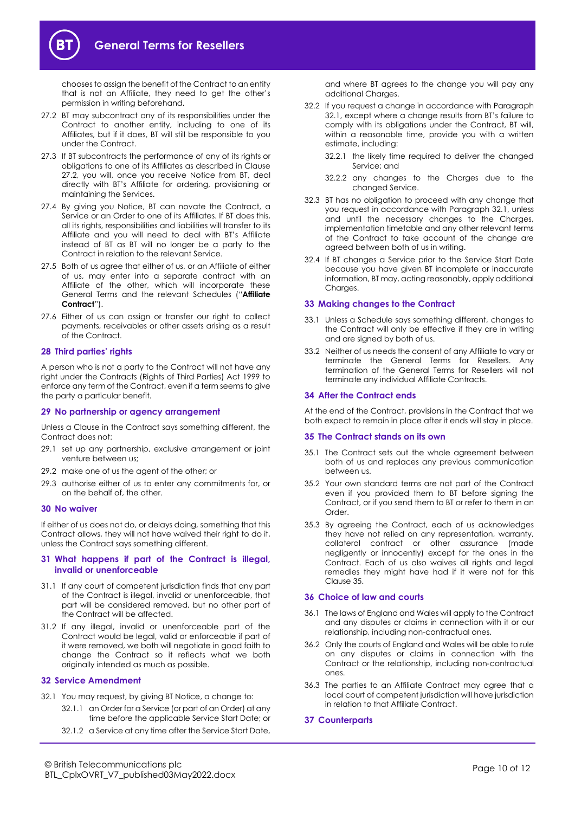

chooses to assign the benefit of the Contract to an entity that is not an Affiliate, they need to get the other's permission in writing beforehand.

- <span id="page-9-0"></span>27.2 BT may subcontract any of its responsibilities under the Contract to another entity, including to one of its Affiliates, but if it does, BT will still be responsible to you under the Contract.
- 27.3 If BT subcontracts the performance of any of its rights or obligations to one of its Affiliates as described in Clause [27.2,](#page-9-0) you will, once you receive Notice from BT, deal directly with BT's Affiliate for ordering, provisioning or maintaining the Services.
- 27.4 By giving you Notice, BT can novate the Contract, a Service or an Order to one of its Affiliates. If BT does this, all its rights, responsibilities and liabilities will transfer to its Affiliate and you will need to deal with BT's Affiliate instead of BT as BT will no longer be a party to the Contract in relation to the relevant Service.
- <span id="page-9-5"></span>27.5 Both of us agree that either of us, or an Affiliate of either of us, may enter into a separate contract with an Affiliate of the other, which will incorporate these General Terms and the relevant Schedules ("**Affiliate Contract**").
- 27.6 Either of us can assign or transfer our right to collect payments, receivables or other assets arising as a result of the Contract.

#### **28 Third parties' rights**

A person who is not a party to the Contract will not have any right under the Contracts (Rights of Third Parties) Act 1999 to enforce any term of the Contract, even if a term seems to give the party a particular benefit.

#### **29 No partnership or agency arrangement**

Unless a Clause in the Contract says something different, the Contract does not:

- 29.1 set up any partnership, exclusive arrangement or joint venture between us;
- 29.2 make one of us the agent of the other; or
- 29.3 authorise either of us to enter any commitments for, or on the behalf of, the other.

#### **30 No waiver**

If either of us does not do, or delays doing, something that this Contract allows, they will not have waived their right to do it, unless the Contract says something different.

#### **31 What happens if part of the Contract is illegal, invalid or unenforceable**

- 31.1 If any court of competent jurisdiction finds that any part of the Contract is illegal, invalid or unenforceable, that part will be considered removed, but no other part of the Contract will be affected.
- 31.2 If any illegal, invalid or unenforceable part of the Contract would be legal, valid or enforceable if part of it were removed, we both will negotiate in good faith to change the Contract so it reflects what we both originally intended as much as possible.

#### <span id="page-9-1"></span>**32 Service Amendment**

- <span id="page-9-3"></span>32.1 You may request, by giving BT Notice, a change to:
	- 32.1.1 an Order for a Service (or part of an Order) at any time before the applicable Service Start Date; or
	- 32.1.2 a Service at any time after the Service Start Date,

and where BT agrees to the change you will pay any additional Charges.

- 32.2 If you request a change in accordance with Paragraph [32.1](#page-9-3), except where a change results from BT's failure to comply with its obligations under the Contract, BT will, within a reasonable time, provide you with a written estimate, including:
	- 32.2.1 the likely time required to deliver the changed Service; and
	- 32.2.2 any changes to the Charges due to the changed Service.
- 32.3 BT has no obligation to proceed with any change that you request in accordance with Paragrap[h 32.1,](#page-9-3) unless and until the necessary changes to the Charges, implementation timetable and any other relevant terms of the Contract to take account of the change are agreed between both of us in writing.
- 32.4 If BT changes a Service prior to the Service Start Date because you have given BT incomplete or inaccurate information, BT may, acting reasonably, apply additional Charges.

#### <span id="page-9-2"></span>**33 Making changes to the Contract**

- 33.1 Unless a Schedule says something different, changes to the Contract will only be effective if they are in writing and are signed by both of us.
- 33.2 Neither of us needs the consent of any Affiliate to vary or terminate the General Terms for Resellers. Any termination of the General Terms for Resellers will not terminate any individual Affiliate Contracts.

#### **34 After the Contract ends**

At the end of the Contract, provisions in the Contract that we both expect to remain in place after it ends will stay in place.

#### <span id="page-9-4"></span>**35 The Contract stands on its own**

- 35.1 The Contract sets out the whole agreement between both of us and replaces any previous communication between us.
- 35.2 Your own standard terms are not part of the Contract even if you provided them to BT before signing the Contract, or if you send them to BT or refer to them in an Order.
- 35.3 By agreeing the Contract, each of us acknowledges they have not relied on any representation, warranty, collateral contract or other assurance (made negligently or innocently) except for the ones in the Contract. Each of us also waives all rights and legal remedies they might have had if it were not for this Claus[e 35.](#page-9-4)

#### **36 Choice of law and courts**

- 36.1 The laws of England and Wales will apply to the Contract and any disputes or claims in connection with it or our relationship, including non-contractual ones.
- 36.2 Only the courts of England and Wales will be able to rule on any disputes or claims in connection with the Contract or the relationship, including non-contractual ones.
- 36.3 The parties to an Affiliate Contract may agree that a local court of competent jurisdiction will have jurisdiction in relation to that Affiliate Contract.
- **37 Counterparts**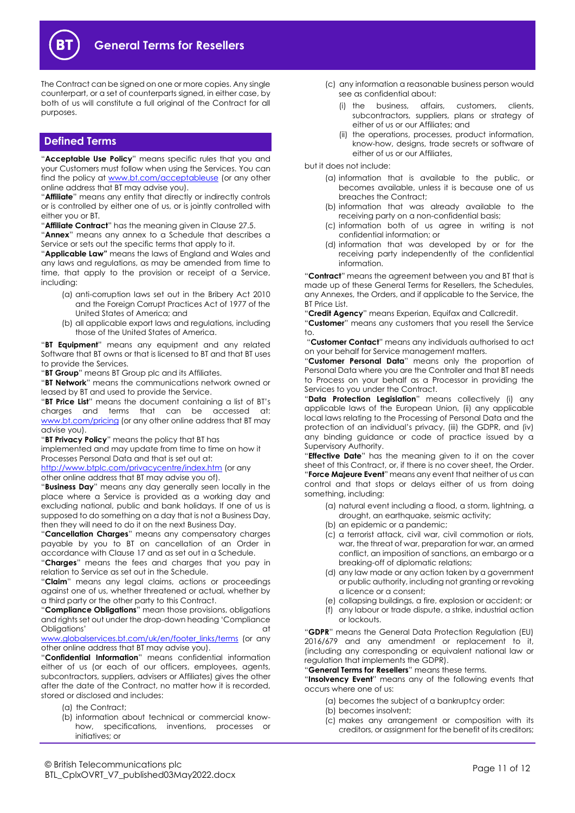

The Contract can be signed on one or more copies. Any single counterpart, or a set of counterparts signed, in either case, by both of us will constitute a full original of the Contract for all purposes.

# <span id="page-10-0"></span>**Defined Terms**

"**Acceptable Use Policy**" means specific rules that you and your Customers must follow when using the Services. You can find the policy at [www.bt.com/acceptableuse](http://www.bt.com/acceptableuse) (or any other online address that BT may advise you).

"**Affiliate**" means any entity that directly or indirectly controls or is controlled by either one of us, or is jointly controlled with either you or BT.

"**Affiliate Contract**" has the meaning given in Clause [27.5.](#page-9-5)

"**Annex**" means any annex to a Schedule that describes a Service or sets out the specific terms that apply to it.

"**Applicable Law"** means the laws of England and Wales and any laws and regulations, as may be amended from time to time, that apply to the provision or receipt of a Service, including:

- (a) anti-corruption laws set out in the Bribery Act 2010 and the Foreign Corrupt Practices Act of 1977 of the United States of America; and
- (b) all applicable export laws and regulations, including those of the United States of America.

"**BT Equipment**" means any equipment and any related Software that BT owns or that is licensed to BT and that BT uses to provide the Services.

"**BT Group**" means BT Group plc and its Affiliates.

"**BT Network**" means the communications network owned or leased by BT and used to provide the Service.

"**BT Price List**" means the document containing a list of BT's charges and terms that can be accessed at: [www.bt.com/pricing](http://www.bt.com/pricing) (or any other online address that BT may advise you).

"**BT Privacy Policy**" means the policy that BT has

implemented and may update from time to time on how it Processes Personal Data and that is set out at:

<http://www.btplc.com/privacycentre/index.htm> (or any other online address that BT may advise you of).

"**Business Day**" means any day generally seen locally in the place where a Service is provided as a working day and excluding national, public and bank holidays. If one of us is supposed to do something on a day that is not a Business Day, then they will need to do it on the next Business Day.

"**Cancellation Charges**" means any compensatory charges payable by you to BT on cancellation of an Order in accordance with Claus[e 17](#page-6-11) and as set out in a Schedule.

"**Charges**" means the fees and charges that you pay in relation to Service as set out in the Schedule.

"**Claim**" means any legal claims, actions or proceedings against one of us, whether threatened or actual, whether by a third party or the other party to this Contract.

"**Compliance Obligations**" mean those provisions, obligations and rights set out under the drop-down heading 'Compliance Obligations' at the contract of the contract of the contract of the contract of the contract of the contract of the contract of the contract of the contract of the contract of the contract of the contract of the contract o

[www.globalservices.bt.com/uk/en/footer\\_links/terms](https://www.globalservices.bt.com/uk/en/footer_links/terms) (or any other online address that BT may advise you).

"**Confidential Information**" means confidential information either of us (or each of our officers, employees, agents, subcontractors, suppliers, advisers or Affiliates) gives the other after the date of the Contract, no matter how it is recorded, stored or disclosed and includes:

- (a) the Contract;
- (b) information about technical or commercial knowhow, specifications, inventions, processes or initiatives; or
- (c) any information a reasonable business person would see as confidential about:
	- (i) the business, affairs, customers, clients, subcontractors, suppliers, plans or strategy of either of us or our Affiliates; and
	- (ii) the operations, processes, product information, know-how, designs, trade secrets or software of either of us or our Affiliates,

but it does not include:

- (a) information that is available to the public, or becomes available, unless it is because one of us breaches the Contract;
- (b) information that was already available to the receiving party on a non-confidential basis;
- (c) information both of us agree in writing is not confidential information; or
- (d) information that was developed by or for the receiving party independently of the confidential information.

"**Contract**" means the agreement between you and BT that is made up of these General Terms for Resellers, the Schedules, any Annexes, the Orders, and if applicable to the Service, the BT Price List.

"**Credit Agency**" means Experian, Equifax and Callcredit.

"**Customer**" means any customers that you resell the Service to.

"**Customer Contact**" means any individuals authorised to act on your behalf for Service management matters.

"**Customer Personal Data**" means only the proportion of Personal Data where you are the Controller and that BT needs to Process on your behalf as a Processor in providing the Services to you under the Contract.

"**Data Protection Legislation**" means collectively (i) any applicable laws of the European Union, (ii) any applicable local laws relating to the Processing of Personal Data and the protection of an individual's privacy, (iii) the GDPR, and (iv) any binding guidance or code of practice issued by a Supervisory Authority.

"**Effective Date**" has the meaning given to it on the cover sheet of this Contract, or, if there is no cover sheet, the Order. "**Force Majeure Event**" means any event that neither of us can control and that stops or delays either of us from doing something, including:

- (a) natural event including a flood, a storm, lightning, a drought, an earthquake, seismic activity;
- (b) an epidemic or a pandemic;
- (c) a terrorist attack, civil war, civil commotion or riots, war, the threat of war, preparation for war, an armed conflict, an imposition of sanctions, an embargo or a breaking-off of diplomatic relations;
- (d) any law made or any action taken by a government or public authority, including not granting or revoking a licence or a consent;
- (e) collapsing buildings, a fire, explosion or accident; or
- (f) any labour or trade dispute, a strike, industrial action or lockouts.

"**GDPR**" means the General Data Protection Regulation (EU) 2016/679 and any amendment or replacement to it, (including any corresponding or equivalent national law or regulation that implements the GDPR).

"**General Terms for Resellers**" means these terms.

"**Insolvency Event**" means any of the following events that occurs where one of us:

- (a) becomes the subject of a bankruptcy order:
- (b) becomes insolvent;
- (c) makes any arrangement or composition with its creditors, or assignment for the benefit of its creditors;